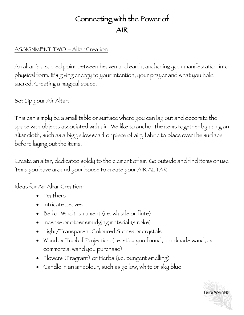## Connecting with the Power of AIR

## ASSIGNMENT TWO – Altar Creation

An altar is a sacred point between heaven and earth, anchoring your manifestation into physical form. It's giving energy to your intention, your prayer and what you hold sacred. Creating a magical space.

Set Up your Air Altar:

This can simply be a small table or surface where you can lay out and decorate the space with objects associated with air. We like to anchor the items together by using an altar cloth, such as a big yellow scarf or piece of airy fabric to place over the surface before laying out the items.

Create an altar, dedicated solely to the element of air. Go outside and find items or use items you have around your house to create your AIR ALTAR.

Ideas for Air Altar Creation:

- Feathers
- Intricate Leaves
- Bell or Wind Instrument (i.e. whistle or flute)
- Incense or other smudging material (smoke)
- Light/Transparent Coloured Stones or crystals
- Wand or Tool of Projection (i.e. stick you found, handmade wand, or commercial wand you purchase)
- Flowers (Fragrant) or Herbs (i.e. pungent smelling)
- Candle in an air colour, such as yellow, white or sky blue